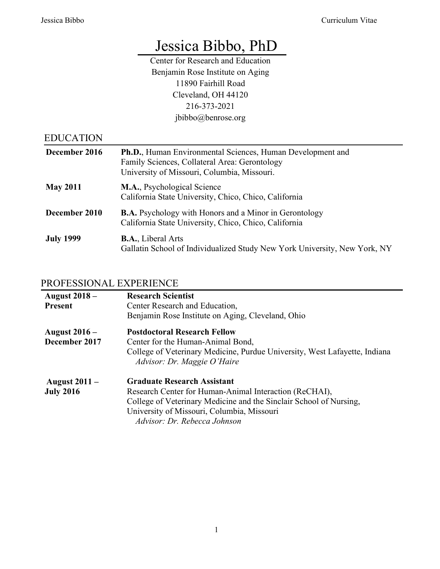# Jessica Bibbo, PhD

Center for Research and Education Benjamin Rose Institute on Aging 11890 Fairhill Road Cleveland, OH 44120 216-373-2021 jbibbo@benrose.org

| <b>EDUCATION</b> |                                                                                                                                                            |
|------------------|------------------------------------------------------------------------------------------------------------------------------------------------------------|
| December 2016    | Ph.D., Human Environmental Sciences, Human Development and<br>Family Sciences, Collateral Area: Gerontology<br>University of Missouri, Columbia, Missouri. |
| <b>May 2011</b>  | <b>M.A., Psychological Science</b><br>California State University, Chico, Chico, California                                                                |
| December 2010    | <b>B.A.</b> Psychology with Honors and a Minor in Gerontology<br>California State University, Chico, Chico, California                                     |
| <b>July 1999</b> | <b>B.A., Liberal Arts</b><br>Gallatin School of Individualized Study New York University, New York, NY                                                     |

# PROFESSIONAL EXPERIENCE

| <b>August 2018 –</b><br><b>Present</b>   | <b>Research Scientist</b><br>Center Research and Education,<br>Benjamin Rose Institute on Aging, Cleveland, Ohio                                                                                                                                 |
|------------------------------------------|--------------------------------------------------------------------------------------------------------------------------------------------------------------------------------------------------------------------------------------------------|
| <b>August 2016 –</b><br>December 2017    | <b>Postdoctoral Research Fellow</b><br>Center for the Human-Animal Bond,<br>College of Veterinary Medicine, Purdue University, West Lafayette, Indiana<br>Advisor: Dr. Maggie O'Haire                                                            |
| <b>August 2011 –</b><br><b>July 2016</b> | <b>Graduate Research Assistant</b><br>Research Center for Human-Animal Interaction (ReCHAI),<br>College of Veterinary Medicine and the Sinclair School of Nursing,<br>University of Missouri, Columbia, Missouri<br>Advisor: Dr. Rebecca Johnson |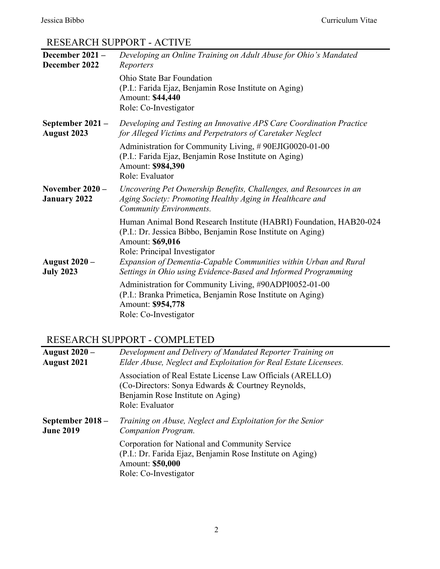# RESEARCH SUPPORT - ACTIVE

| December 2021 -<br>December 2022         | Developing an Online Training on Adult Abuse for Ohio's Mandated<br>Reporters                                                                                                                                                                                                                                               |
|------------------------------------------|-----------------------------------------------------------------------------------------------------------------------------------------------------------------------------------------------------------------------------------------------------------------------------------------------------------------------------|
|                                          | <b>Ohio State Bar Foundation</b><br>(P.I.: Farida Ejaz, Benjamin Rose Institute on Aging)<br>Amount: \$44,440<br>Role: Co-Investigator                                                                                                                                                                                      |
| September 2021 -<br><b>August 2023</b>   | Developing and Testing an Innovative APS Care Coordination Practice<br>for Alleged Victims and Perpetrators of Caretaker Neglect                                                                                                                                                                                            |
|                                          | Administration for Community Living, #90EJIG0020-01-00<br>(P.I.: Farida Ejaz, Benjamin Rose Institute on Aging)<br>Amount: \$984,390<br>Role: Evaluator                                                                                                                                                                     |
| November $2020 -$<br><b>January 2022</b> | Uncovering Pet Ownership Benefits, Challenges, and Resources in an<br>Aging Society: Promoting Healthy Aging in Healthcare and<br>Community Environments.                                                                                                                                                                   |
| <b>August 2020 –</b><br><b>July 2023</b> | Human Animal Bond Research Institute (HABRI) Foundation, HAB20-024<br>(P.I.: Dr. Jessica Bibbo, Benjamin Rose Institute on Aging)<br>Amount: \$69,016<br>Role: Principal Investigator<br>Expansion of Dementia-Capable Communities within Urban and Rural<br>Settings in Ohio using Evidence-Based and Informed Programming |
|                                          | Administration for Community Living, #90ADPI0052-01-00<br>(P.I.: Branka Primetica, Benjamin Rose Institute on Aging)<br>Amount: \$954,778<br>Role: Co-Investigator                                                                                                                                                          |

# RESEARCH SUPPORT - COMPLETED

| <b>August 2020 –</b> | Development and Delivery of Mandated Reporter Training on                                                                                                              |
|----------------------|------------------------------------------------------------------------------------------------------------------------------------------------------------------------|
| <b>August 2021</b>   | Elder Abuse, Neglect and Exploitation for Real Estate Licensees.                                                                                                       |
|                      | Association of Real Estate License Law Officials (ARELLO)<br>(Co-Directors: Sonya Edwards & Courtney Reynolds,<br>Benjamin Rose Institute on Aging)<br>Role: Evaluator |
| September $2018 -$   | Training on Abuse, Neglect and Exploitation for the Senior                                                                                                             |
| <b>June 2019</b>     | Companion Program.                                                                                                                                                     |
|                      | Corporation for National and Community Service<br>(P.I.: Dr. Farida Ejaz, Benjamin Rose Institute on Aging)<br>Amount: \$50,000<br>Role: Co-Investigator               |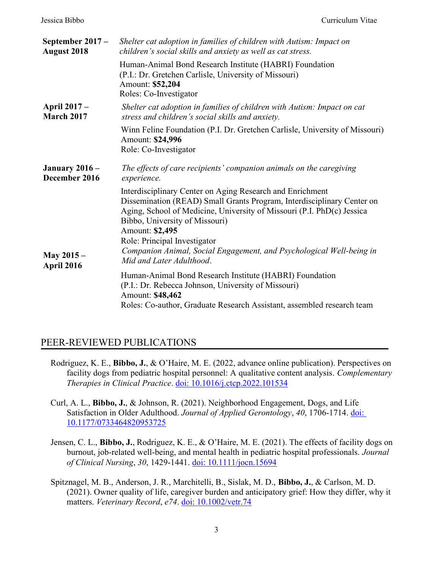| September 2017 -<br><b>August 2018</b>   | Shelter cat adoption in families of children with Autism: Impact on<br>children's social skills and anxiety as well as cat stress.                                                                                                                                                                                                                                                                     |
|------------------------------------------|--------------------------------------------------------------------------------------------------------------------------------------------------------------------------------------------------------------------------------------------------------------------------------------------------------------------------------------------------------------------------------------------------------|
|                                          | Human-Animal Bond Research Institute (HABRI) Foundation<br>(P.I.: Dr. Gretchen Carlisle, University of Missouri)<br>Amount: \$52,204<br>Roles: Co-Investigator                                                                                                                                                                                                                                         |
| <b>April 2017 –</b><br><b>March 2017</b> | Shelter cat adoption in families of children with Autism: Impact on cat<br>stress and children's social skills and anxiety.                                                                                                                                                                                                                                                                            |
|                                          | Winn Feline Foundation (P.I. Dr. Gretchen Carlisle, University of Missouri)<br>Amount: \$24,996<br>Role: Co-Investigator                                                                                                                                                                                                                                                                               |
| <b>January 2016 –</b><br>December 2016   | The effects of care recipients' companion animals on the caregiving<br>experience.                                                                                                                                                                                                                                                                                                                     |
| <b>May 2015 –</b><br>April 2016          | Interdisciplinary Center on Aging Research and Enrichment<br>Dissemination (READ) Small Grants Program, Interdisciplinary Center on<br>Aging, School of Medicine, University of Missouri (P.I. PhD(c) Jessica<br>Bibbo, University of Missouri)<br>Amount: \$2,495<br>Role: Principal Investigator<br>Companion Animal, Social Engagement, and Psychological Well-being in<br>Mid and Later Adulthood. |
|                                          | Human-Animal Bond Research Institute (HABRI) Foundation<br>(P.I.: Dr. Rebecca Johnson, University of Missouri)<br>Amount: \$48,462<br>Roles: Co-author, Graduate Research Assistant, assembled research team                                                                                                                                                                                           |

### PEER-REVIEWED PUBLICATIONS

- Rodriguez, K. E., Bibbo, J., & O'Haire, M. E. (2022, advance online publication). Perspectives on facility dogs from pediatric hospital personnel: A qualitative content analysis. Complementary Therapies in Clinical Practice. doi: 10.1016/j.ctcp.2022.101534
- Curl, A. L., Bibbo, J., & Johnson, R. (2021). Neighborhood Engagement, Dogs, and Life Satisfaction in Older Adulthood. Journal of Applied Gerontology, 40, 1706-1714. doi: 10.1177/0733464820953725
- Jensen, C. L., Bibbo, J., Rodriguez, K. E., & O'Haire, M. E. (2021). The effects of facility dogs on burnout, job-related well-being, and mental health in pediatric hospital professionals. Journal of Clinical Nursing, 30, 1429-1441. doi: 10.1111/jocn.15694
- Spitznagel, M. B., Anderson, J. R., Marchitelli, B., Sislak, M. D., Bibbo, J., & Carlson, M. D. (2021). Owner quality of life, caregiver burden and anticipatory grief: How they differ, why it matters. Veterinary Record, e74. doi: 10.1002/vetr.74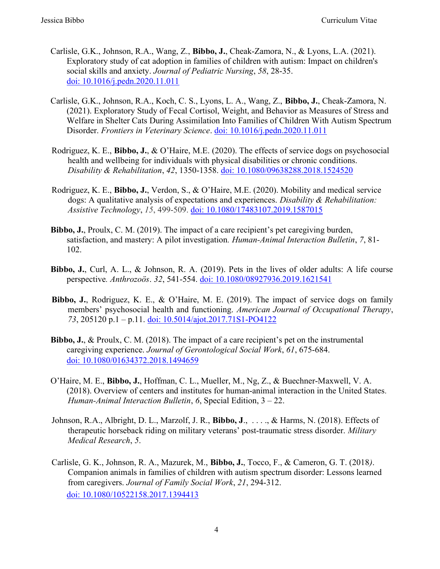- Carlisle, G.K., Johnson, R.A., Wang, Z., Bibbo, J., Cheak-Zamora, N., & Lyons, L.A. (2021). Exploratory study of cat adoption in families of children with autism: Impact on children's social skills and anxiety. Journal of Pediatric Nursing, 58, 28-35. doi: 10.1016/j.pedn.2020.11.011
- Carlisle, G.K., Johnson, R.A., Koch, C. S., Lyons, L. A., Wang, Z., Bibbo, J., Cheak-Zamora, N. (2021). Exploratory Study of Fecal Cortisol, Weight, and Behavior as Measures of Stress and Welfare in Shelter Cats During Assimilation Into Families of Children With Autism Spectrum Disorder. Frontiers in Veterinary Science. doi: 10.1016/j.pedn.2020.11.011
- Rodriguez, K. E., Bibbo, J., & O'Haire, M.E. (2020). The effects of service dogs on psychosocial health and wellbeing for individuals with physical disabilities or chronic conditions. Disability & Rehabilitation, 42, 1350-1358. doi: 10.1080/09638288.2018.1524520
- Rodriguez, K. E., Bibbo, J., Verdon, S., & O'Haire, M.E. (2020). Mobility and medical service dogs: A qualitative analysis of expectations and experiences. Disability  $\&$  Rehabilitation: Assistive Technology, 15, 499-509. doi: 10.1080/17483107.2019.1587015
- Bibbo, J., Proulx, C. M. (2019). The impact of a care recipient's pet caregiving burden, satisfaction, and mastery: A pilot investigation. Human-Animal Interaction Bulletin, 7, 81- 102.
- Bibbo, J., Curl, A. L., & Johnson, R. A. (2019). Pets in the lives of older adults: A life course perspective. Anthrozoӧs. 32, 541-554. doi: 10.1080/08927936.2019.1621541
- Bibbo, J., Rodriguez, K. E., & O'Haire, M. E. (2019). The impact of service dogs on family members' psychosocial health and functioning. American Journal of Occupational Therapy, 73, 205120 p.1 – p.11. doi: 10.5014/ajot.2017.71S1-PO4122
- Bibbo, J., & Proulx, C. M. (2018). The impact of a care recipient's pet on the instrumental caregiving experience. Journal of Gerontological Social Work, 61, 675-684. doi: 10.1080/01634372.2018.1494659
- O'Haire, M. E., Bibbo, J., Hoffman, C. L., Mueller, M., Ng, Z., & Buechner-Maxwell, V. A. (2018). Overview of centers and institutes for human-animal interaction in the United States. Human-Animal Interaction Bulletin, 6, Special Edition, 3 – 22.
- Johnson, R.A., Albright, D. L., Marzolf, J. R., Bibbo, J., ..., & Harms, N. (2018). Effects of therapeutic horseback riding on military veterans' post-traumatic stress disorder. Military Medical Research, 5.
- Carlisle, G. K., Johnson, R. A., Mazurek, M., Bibbo, J., Tocco, F., & Cameron, G. T. (2018). Companion animals in families of children with autism spectrum disorder: Lessons learned from caregivers. Journal of Family Social Work, 21, 294-312. doi: 10.1080/10522158.2017.1394413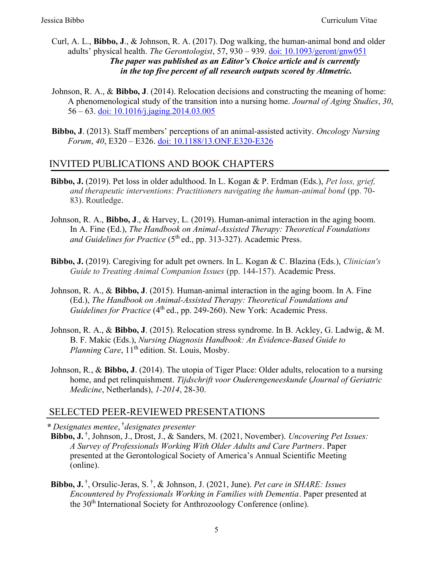- Curl, A. L., Bibbo, J., & Johnson, R. A. (2017). Dog walking, the human-animal bond and older adults' physical health. The Gerontologist, 57, 930 – 939. doi: 10.1093/geront/gnw051 The paper was published as an Editor's Choice article and is currently in the top five percent of all research outputs scored by Altmetric.
- Johnson, R. A., & Bibbo, J. (2014). Relocation decisions and constructing the meaning of home: A phenomenological study of the transition into a nursing home. Journal of Aging Studies, 30, 56 – 63. doi: 10.1016/j.jaging.2014.03.005
- Bibbo, J. (2013). Staff members' perceptions of an animal-assisted activity. Oncology Nursing Forum, 40, E320 – E326. doi: 10.1188/13.ONF.E320-E326

### INVITED PUBLICATIONS AND BOOK CHAPTERS

- Bibbo, J. (2019). Pet loss in older adulthood. In L. Kogan & P. Erdman (Eds.), Pet loss, grief, and therapeutic interventions: Practitioners navigating the human-animal bond (pp. 70- 83). Routledge.
- Johnson, R. A., Bibbo, J., & Harvey, L. (2019). Human-animal interaction in the aging boom. In A. Fine (Ed.), The Handbook on Animal-Assisted Therapy: Theoretical Foundations and Guidelines for Practice  $(5<sup>th</sup>$ ed., pp. 313-327). Academic Press.
- Bibbo, J. (2019). Caregiving for adult pet owners. In L. Kogan & C. Blazina (Eds.), Clinician's Guide to Treating Animal Companion Issues (pp. 144-157). Academic Press.
- Johnson, R. A., & Bibbo, J. (2015). Human-animal interaction in the aging boom. In A. Fine (Ed.), The Handbook on Animal-Assisted Therapy: Theoretical Foundations and Guidelines for Practice  $(4<sup>th</sup>$ ed., pp. 249-260). New York: Academic Press.
- Johnson, R. A., & Bibbo, J. (2015). Relocation stress syndrome. In B. Ackley, G. Ladwig, & M. B. F. Makic (Eds.), Nursing Diagnosis Handbook: An Evidence-Based Guide to Planning Care,  $11<sup>th</sup>$  edition. St. Louis, Mosby.
- Johnson, R., & Bibbo, J. (2014). The utopia of Tiger Place: Older adults, relocation to a nursing home, and pet relinquishment. Tijdschrift voor Ouderengeneeskunde (Journal of Geriatric Medicine, Netherlands), 1-2014, 28-30.

#### SELECTED PEER-REVIEWED PRESENTATIONS

\* Designates mentee, †designates presenter

- Bibbo, J.<sup>†</sup>, Johnson, J., Drost, J., & Sanders, M. (2021, November). Uncovering Pet Issues: A Survey of Professionals Working With Older Adults and Care Partners. Paper presented at the Gerontological Society of America's Annual Scientific Meeting (online).
- **Bibbo, J.**  $^{\dagger}$ , Orsulic-Jeras, S.  $^{\dagger}$ , & Johnson, J. (2021, June). *Pet care in SHARE: Issues* Encountered by Professionals Working in Families with Dementia. Paper presented at the 30th International Society for Anthrozoology Conference (online).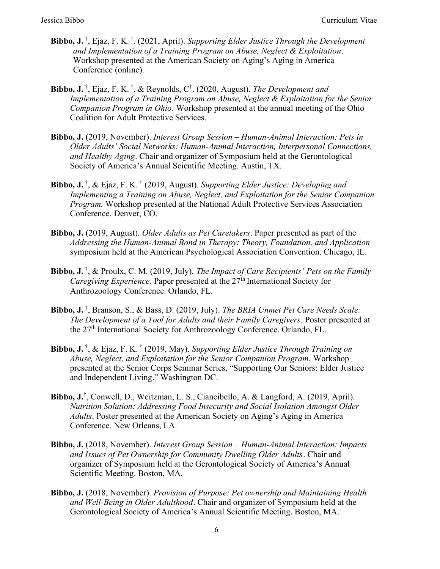- **Bibbo, J.**  $^{\dagger}$ , Ejaz, F. K.  $^{\dagger}$ . (2021, April). Supporting Elder Justice Through the Development and Implementation of a Training Program on Abuse, Neglect & Exploitation. Workshop presented at the American Society on Aging's Aging in America Conference (online).
- **Bibbo, J.**  $^{\dagger}$ , Ejaz, F. K.  $^{\dagger}$ , & Reynolds, C<sup> $^{\dagger}$ </sup>. (2020, August). *The Development and* Implementation of a Training Program on Abuse, Neglect & Exploitation for the Senior Companion Program in Ohio. Workshop presented at the annual meeting of the Ohio Coalition for Adult Protective Services.
- Bibbo, J. (2019, November). Interest Group Session Human-Animal Interaction: Pets in Older Adults' Social Networks: Human-Animal Interaction, Interpersonal Connections, and Healthy Aging. Chair and organizer of Symposium held at the Gerontological Society of America's Annual Scientific Meeting. Austin, TX.
- **Bibbo, J.**  $^{\dagger}$ , & Ejaz, F. K.  $^{\dagger}$  (2019, August). Supporting Elder Justice: Developing and Implementing a Training on Abuse, Neglect, and Exploitation for the Senior Companion Program. Workshop presented at the National Adult Protective Services Association Conference. Denver, CO.
- Bibbo, J. (2019, August). Older Adults as Pet Caretakers. Paper presented as part of the Addressing the Human-Animal Bond in Therapy: Theory, Foundation, and Application symposium held at the American Psychological Association Convention. Chicago, IL.
- **Bibbo, J.**  $^{\dagger}$ , & Proulx, C. M. (2019, July). The Impact of Care Recipients' Pets on the Family *Caregiving Experience.* Paper presented at the  $27<sup>th</sup>$  International Society for Anthrozoology Conference. Orlando, FL.
- Bibbo, J.<sup>†</sup>, Branson, S., & Bass, D. (2019, July). The BRIA Unmet Pet Care Needs Scale: The Development of a Tool for Adults and their Family Caregivers. Poster presented at the 27<sup>th</sup> International Society for Anthrozoology Conference, Orlando, FL.
- **Bibbo, J.**  $^{\dagger}$ , & Ejaz, F. K.  $^{\dagger}$  (2019, May). Supporting Elder Justice Through Training on Abuse, Neglect, and Exploitation for the Senior Companion Program. Workshop presented at the Senior Corps Seminar Series, "Supporting Our Seniors: Elder Justice and Independent Living." Washington DC.
- Bibbo, J.<sup>†</sup>, Conwell, D., Weitzman, L. S., Ciancibello, A. & Langford, A. (2019, April). Nutrition Solution: Addressing Food Insecurity and Social Isolation Amongst Older Adults. Poster presented at the American Society on Aging's Aging in America Conference. New Orleans, LA.
- Bibbo, J. (2018, November). Interest Group Session Human-Animal Interaction: Impacts and Issues of Pet Ownership for Community Dwelling Older Adults. Chair and organizer of Symposium held at the Gerontological Society of America's Annual Scientific Meeting. Boston, MA.
- Bibbo, J. (2018, November). Provision of Purpose: Pet ownership and Maintaining Health and Well-Being in Older Adulthood. Chair and organizer of Symposium held at the Gerontological Society of America's Annual Scientific Meeting. Boston, MA.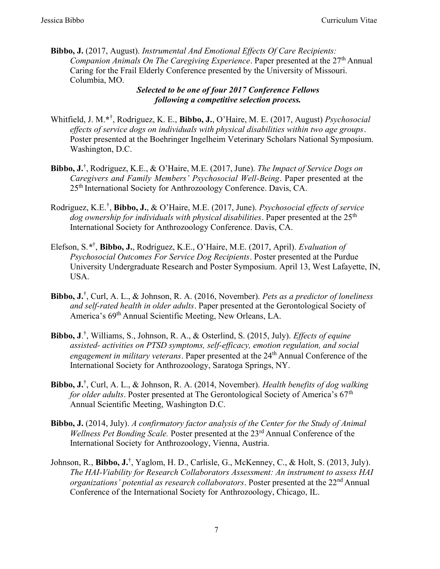Bibbo, J. (2017, August). Instrumental And Emotional Effects Of Care Recipients: Companion Animals On The Caregiving Experience. Paper presented at the  $27<sup>th</sup>$  Annual Caring for the Frail Elderly Conference presented by the University of Missouri. Columbia, MO.

#### Selected to be one of four 2017 Conference Fellows following a competitive selection process.

- Whitfield, J. M.\*<sup>†</sup>, Rodriguez, K. E., Bibbo, J., O'Haire, M. E. (2017, August) Psychosocial effects of service dogs on individuals with physical disabilities within two age groups. Poster presented at the Boehringer Ingelheim Veterinary Scholars National Symposium. Washington, D.C.
- Bibbo, J.<sup>†</sup>, Rodriguez, K.E., & O'Haire, M.E. (2017, June). The Impact of Service Dogs on Caregivers and Family Members' Psychosocial Well-Being. Paper presented at the 25<sup>th</sup> International Society for Anthrozoology Conference. Davis, CA.
- Rodriguez, K.E.<sup>†</sup>, Bibbo, J., & O'Haire, M.E. (2017, June). Psychosocial effects of service dog ownership for individuals with physical disabilities. Paper presented at the  $25<sup>th</sup>$ International Society for Anthrozoology Conference. Davis, CA.
- Elefson, S.\*<sup>†</sup>, Bibbo, J., Rodriguez, K.E., O'Haire, M.E. (2017, April). Evaluation of Psychosocial Outcomes For Service Dog Recipients. Poster presented at the Purdue University Undergraduate Research and Poster Symposium. April 13, West Lafayette, IN, USA.
- Bibbo,  $JJJ$ , Curl, A. L., & Johnson, R. A. (2016, November). Pets as a predictor of loneliness and self-rated health in older adults. Paper presented at the Gerontological Society of America's 69<sup>th</sup> Annual Scientific Meeting, New Orleans, LA.
- **Bibbo, J.**<sup>†</sup>, Williams, S., Johnson, R. A., & Osterlind, S. (2015, July). *Effects of equine* assisted- activities on PTSD symptoms, self-efficacy, emotion regulation, and social engagement in military veterans. Paper presented at the 24<sup>th</sup> Annual Conference of the International Society for Anthrozoology, Saratoga Springs, NY.
- Bibbo,  $J^{T}$ , Curl, A. L., & Johnson, R. A. (2014, November). Health benefits of dog walking for older adults. Poster presented at The Gerontological Society of America's  $67<sup>th</sup>$ Annual Scientific Meeting, Washington D.C.
- Bibbo, J. (2014, July). A confirmatory factor analysis of the Center for the Study of Animal Wellness Pet Bonding Scale. Poster presented at the 23<sup>rd</sup> Annual Conference of the International Society for Anthrozoology, Vienna, Austria.
- Johnson, R., Bibbo, J.<sup>†</sup>, Yaglom, H. D., Carlisle, G., McKenney, C., & Holt, S. (2013, July). The HAI-Viability for Research Collaborators Assessment: An instrument to assess HAI organizations' potential as research collaborators. Poster presented at the  $22<sup>nd</sup>$  Annual Conference of the International Society for Anthrozoology, Chicago, IL.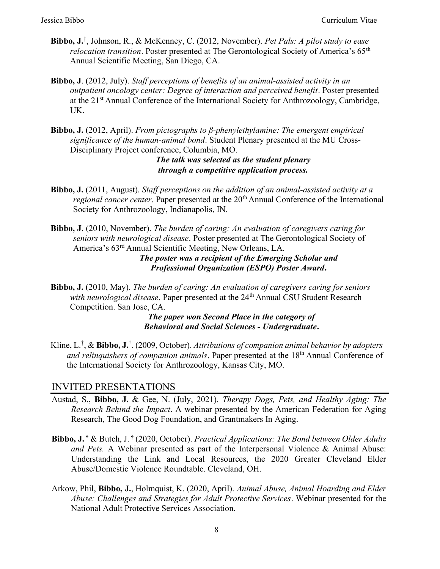- Bibbo, J.<sup>†</sup>, Johnson, R., & McKenney, C. (2012, November). Pet Pals: A pilot study to ease *relocation transition.* Poster presented at The Gerontological Society of America's  $65<sup>th</sup>$ Annual Scientific Meeting, San Diego, CA.
- Bibbo, J. (2012, July). Staff perceptions of benefits of an animal-assisted activity in an outpatient oncology center: Degree of interaction and perceived benefit. Poster presented at the 21<sup>st</sup> Annual Conference of the International Society for Anthrozoology, Cambridge, UK.
- Bibbo, J. (2012, April). From pictographs to  $\beta$ -phenylethylamine: The emergent empirical significance of the human-animal bond. Student Plenary presented at the MU Cross-Disciplinary Project conference, Columbia, MO.

The talk was selected as the student plenary through a competitive application process.

Bibbo, J. (2011, August). Staff perceptions on the addition of an animal-assisted activity at a *regional cancer center.* Paper presented at the  $20<sup>th</sup>$  Annual Conference of the International Society for Anthrozoology, Indianapolis, IN.

Bibbo, J. (2010, November). The burden of caring: An evaluation of caregivers caring for seniors with neurological disease. Poster presented at The Gerontological Society of America's 63rd Annual Scientific Meeting, New Orleans, LA.

The poster was a recipient of the Emerging Scholar and Professional Organization (ESPO) Poster Award.

Bibbo, J. (2010, May). The burden of caring: An evaluation of caregivers caring for seniors with neurological disease. Paper presented at the 24<sup>th</sup> Annual CSU Student Research Competition. San Jose, CA.

> The paper won Second Place in the category of Behavioral and Social Sciences - Undergraduate.

Kline, L.<sup>†</sup>, & Bibbo, J.<sup>†</sup>. (2009, October). Attributions of companion animal behavior by adopters and relinquishers of companion animals. Paper presented at the  $18<sup>th</sup>$  Annual Conference of the International Society for Anthrozoology, Kansas City, MO.

### INVITED PRESENTATIONS

- Austad, S., Bibbo, J. & Gee, N. (July, 2021). Therapy Dogs, Pets, and Healthy Aging: The Research Behind the Impact. A webinar presented by the American Federation for Aging Research, The Good Dog Foundation, and Grantmakers In Aging.
- **Bibbo, J.** † & Butch, J. † (2020, October). *Practical Applications: The Bond between Older Adults* and Pets. A Webinar presented as part of the Interpersonal Violence & Animal Abuse: Understanding the Link and Local Resources, the 2020 Greater Cleveland Elder Abuse/Domestic Violence Roundtable. Cleveland, OH.
- Arkow, Phil, Bibbo, J., Holmquist, K. (2020, April). Animal Abuse, Animal Hoarding and Elder Abuse: Challenges and Strategies for Adult Protective Services. Webinar presented for the National Adult Protective Services Association.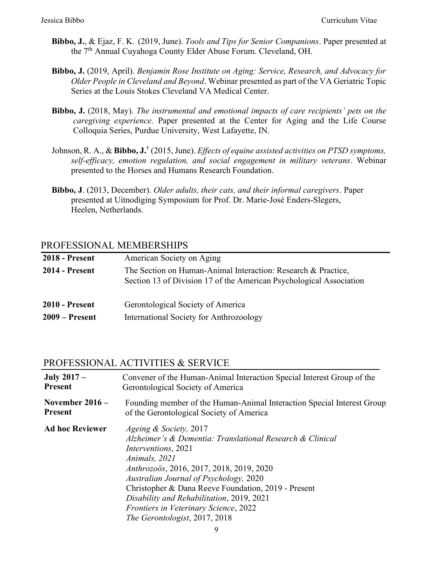- Bibbo, J., & Ejaz, F. K. (2019, June). Tools and Tips for Senior Companions. Paper presented at the 7<sup>th</sup> Annual Cuyahoga County Elder Abuse Forum. Cleveland, OH.
- Bibbo, J. (2019, April). Benjamin Rose Institute on Aging: Service, Research, and Advocacy for Older People in Cleveland and Beyond. Webinar presented as part of the VA Geriatric Topic Series at the Louis Stokes Cleveland VA Medical Center.
- Bibbo, J. (2018, May). The instrumental and emotional impacts of care recipients' pets on the caregiving experience. Paper presented at the Center for Aging and the Life Course Colloquia Series, Purdue University, West Lafayette, IN.
- Johnson, R. A., & Bibbo, J.<sup>†</sup> (2015, June). *Effects of equine assisted activities on PTSD symptoms*, self-efficacy, emotion regulation, and social engagement in military veterans. Webinar presented to the Horses and Humans Research Foundation.
- Bibbo, J. (2013, December). Older adults, their cats, and their informal caregivers. Paper presented at Uitnodiging Symposium for Prof. Dr. Marie-José Enders-Slegers, Heelen, Netherlands.

#### PROFESSIONAL MEMBERSHIPS

| <b>2018 - Present</b> | American Society on Aging                                                                                                            |
|-----------------------|--------------------------------------------------------------------------------------------------------------------------------------|
| <b>2014 - Present</b> | The Section on Human-Animal Interaction: Research & Practice,<br>Section 13 of Division 17 of the American Psychological Association |
| <b>2010 - Present</b> | Gerontological Society of America                                                                                                    |
| $2009 -$ Present      | International Society for Anthrozoology                                                                                              |

#### PROFESSIONAL ACTIVITIES & SERVICE

| <b>July 2017 –</b>     | Convener of the Human-Animal Interaction Special Interest Group of the                                                                                                                                                                                                                                                                                                                                             |
|------------------------|--------------------------------------------------------------------------------------------------------------------------------------------------------------------------------------------------------------------------------------------------------------------------------------------------------------------------------------------------------------------------------------------------------------------|
| <b>Present</b>         | Gerontological Society of America                                                                                                                                                                                                                                                                                                                                                                                  |
| November $2016 -$      | Founding member of the Human-Animal Interaction Special Interest Group                                                                                                                                                                                                                                                                                                                                             |
| <b>Present</b>         | of the Gerontological Society of America                                                                                                                                                                                                                                                                                                                                                                           |
| <b>Ad hoc Reviewer</b> | <i>Ageing &amp; Society, 2017</i><br>Alzheimer's & Dementia: Translational Research & Clinical<br><i>Interventions</i> , 2021<br>Animals, 2021<br>Anthrozoös, 2016, 2017, 2018, 2019, 2020<br>Australian Journal of Psychology, 2020<br>Christopher & Dana Reeve Foundation, 2019 - Present<br>Disability and Rehabilitation, 2019, 2021<br>Frontiers in Veterinary Science, 2022<br>The Gerontologist, 2017, 2018 |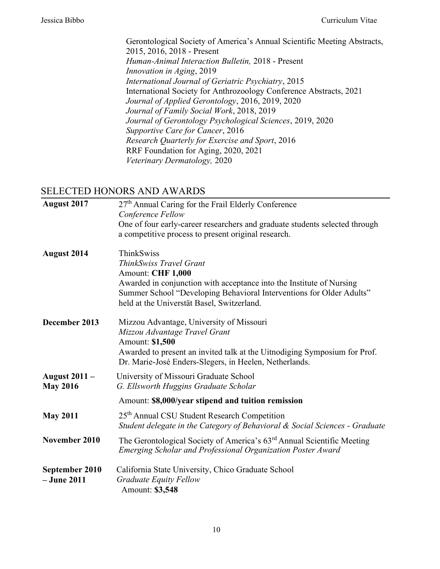Gerontological Society of America's Annual Scientific Meeting Abstracts, 2015, 2016, 2018 - Present Human-Animal Interaction Bulletin, 2018 - Present Innovation in Aging, 2019 International Journal of Geriatric Psychiatry, 2015 International Society for Anthrozoology Conference Abstracts, 2021 Journal of Applied Gerontology, 2016, 2019, 2020 Journal of Family Social Work, 2018, 2019 Journal of Gerontology Psychological Sciences, 2019, 2020 Supportive Care for Cancer, 2016 Research Quarterly for Exercise and Sport, 2016 RRF Foundation for Aging, 2020, 2021 Veterinary Dermatology, 2020

#### SELECTED HONORS AND AWARDS

| <b>August 2017</b>                      | 27 <sup>th</sup> Annual Caring for the Frail Elderly Conference<br>Conference Fellow                                                                                                                                                                     |
|-----------------------------------------|----------------------------------------------------------------------------------------------------------------------------------------------------------------------------------------------------------------------------------------------------------|
|                                         | One of four early-career researchers and graduate students selected through<br>a competitive process to present original research.                                                                                                                       |
| <b>August 2014</b>                      | ThinkSwiss<br>ThinkSwiss Travel Grant<br>Amount: CHF 1,000<br>Awarded in conjunction with acceptance into the Institute of Nursing<br>Summer School "Developing Behavioral Interventions for Older Adults"<br>held at the Universtät Basel, Switzerland. |
| December 2013                           | Mizzou Advantage, University of Missouri<br>Mizzou Advantage Travel Grant<br>Amount: \$1,500<br>Awarded to present an invited talk at the Uitnodiging Symposium for Prof.<br>Dr. Marie-José Enders-Slegers, in Heelen, Netherlands.                      |
| <b>August 2011 –</b><br><b>May 2016</b> | University of Missouri Graduate School<br>G. Ellsworth Huggins Graduate Scholar                                                                                                                                                                          |
|                                         | Amount: \$8,000/year stipend and tuition remission                                                                                                                                                                                                       |
| <b>May 2011</b>                         | 25 <sup>th</sup> Annual CSU Student Research Competition<br>Student delegate in the Category of Behavioral & Social Sciences - Graduate                                                                                                                  |
| November 2010                           | The Gerontological Society of America's 63rd Annual Scientific Meeting<br>Emerging Scholar and Professional Organization Poster Award                                                                                                                    |
| September 2010<br>$-$ June 2011         | California State University, Chico Graduate School<br><b>Graduate Equity Fellow</b><br>Amount: \$3,548                                                                                                                                                   |